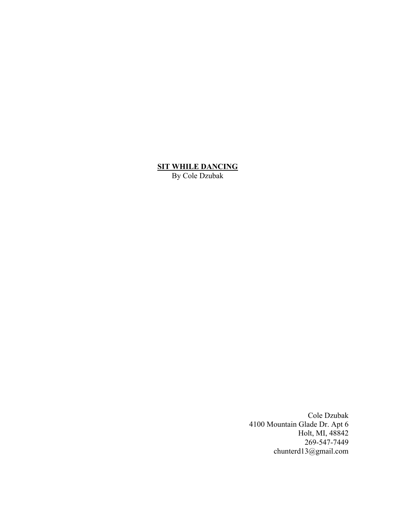## **SIT WHILE DANCING**

By Cole Dzubak

Cole Dzubak 4100 Mountain Glade Dr. Apt 6 Holt, MI, 48842 269-547-7449 chunterd13@gmail.com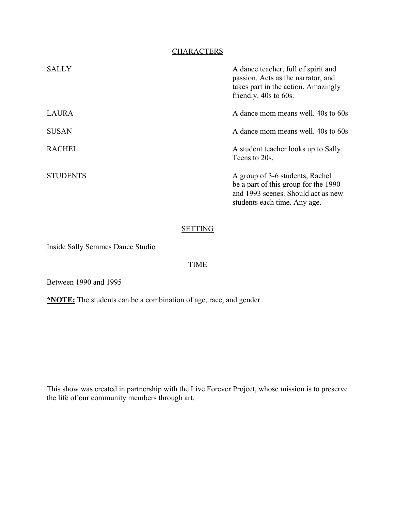# **CHARACTERS**

| <b>SALLY</b>    | A dance teacher, full of spirit and<br>passion. Acts as the narrator, and<br>takes part in the action. Amazingly<br>friendly. 40s to 60s.     |
|-----------------|-----------------------------------------------------------------------------------------------------------------------------------------------|
| <b>LAURA</b>    | A dance mom means well. 40s to 60s                                                                                                            |
| <b>SUSAN</b>    | A dance mom means well. 40s to 60s                                                                                                            |
| <b>RACHEL</b>   | A student teacher looks up to Sally.<br>Teens to 20s.                                                                                         |
| <b>STUDENTS</b> | A group of 3-6 students, Rachel<br>be a part of this group for the 1990<br>and 1993 scenes. Should act as new<br>students each time. Any age. |

# **SETTING**

Inside Sally Semmes Dance Studio

# TIME

Between 1990 and 1995

**\*NOTE:** The students can be a combination of age, race, and gender.

This show was created in partnership with the Live Forever Project, whose mission is to preserve the life of our community members through art.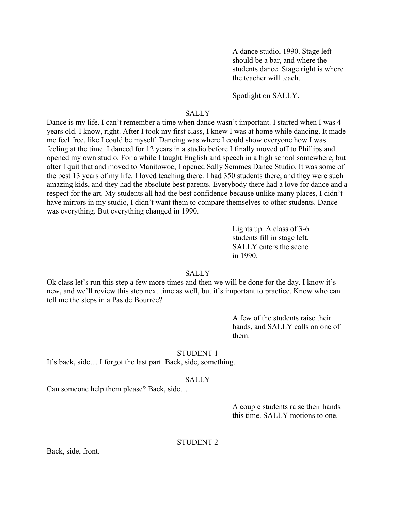A dance studio, 1990. Stage left should be a bar, and where the students dance. Stage right is where the teacher will teach.

Spotlight on SALLY.

# **SALLY**

Dance is my life. I can't remember a time when dance wasn't important. I started when I was 4 years old. I know, right. After I took my first class, I knew I was at home while dancing. It made me feel free, like I could be myself. Dancing was where I could show everyone how I was feeling at the time. I danced for 12 years in a studio before I finally moved off to Phillips and opened my own studio. For a while I taught English and speech in a high school somewhere, but after I quit that and moved to Manitowoc, I opened Sally Semmes Dance Studio. It was some of the best 13 years of my life. I loved teaching there. I had 350 students there, and they were such amazing kids, and they had the absolute best parents. Everybody there had a love for dance and a respect for the art. My students all had the best confidence because unlike many places, I didn't have mirrors in my studio, I didn't want them to compare themselves to other students. Dance was everything. But everything changed in 1990.

> Lights up. A class of 3-6 students fill in stage left. SALLY enters the scene in 1990.

## **SALLY**

Ok class let's run this step a few more times and then we will be done for the day. I know it's new, and we'll review this step next time as well, but it's important to practice. Know who can tell me the steps in a Pas de Bourrée?

> A few of the students raise their hands, and SALLY calls on one of them.

#### STUDENT 1

It's back, side… I forgot the last part. Back, side, something.

#### SALLY

Can someone help them please? Back, side…

A couple students raise their hands this time. SALLY motions to one.

## STUDENT 2

Back, side, front.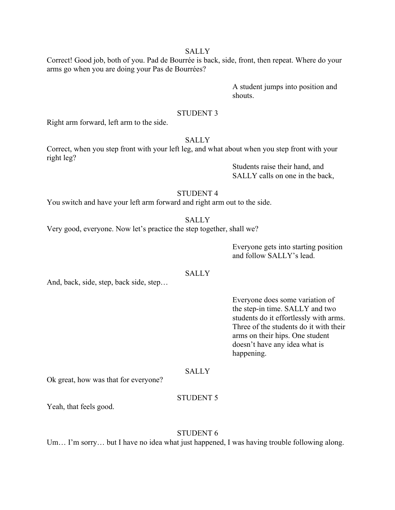Correct! Good job, both of you. Pad de Bourrée is back, side, front, then repeat. Where do your arms go when you are doing your Pas de Bourrées?

> A student jumps into position and shouts.

### STUDENT 3

Right arm forward, left arm to the side.

# **SALLY**

Correct, when you step front with your left leg, and what about when you step front with your right leg?

> Students raise their hand, and SALLY calls on one in the back,

# STUDENT 4

You switch and have your left arm forward and right arm out to the side.

**SALLY** 

Very good, everyone. Now let's practice the step together, shall we?

Everyone gets into starting position and follow SALLY's lead.

## **SALLY**

And, back, side, step, back side, step…

Everyone does some variation of the step-in time. SALLY and two students do it effortlessly with arms. Three of the students do it with their arms on their hips. One student doesn't have any idea what is happening.

#### SALLY

Ok great, how was that for everyone?

# STUDENT 5

Yeah, that feels good.

# STUDENT 6

Um... I'm sorry... but I have no idea what just happened, I was having trouble following along.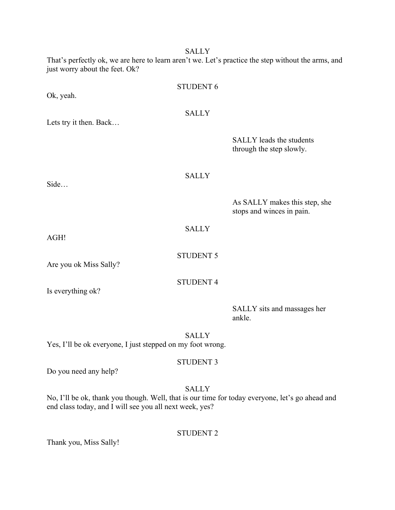That's perfectly ok, we are here to learn aren't we. Let's practice the step without the arms, and just worry about the feet. Ok?

|                                                            | <b>STUDENT 6</b> |                                                             |
|------------------------------------------------------------|------------------|-------------------------------------------------------------|
| Ok, yeah.                                                  |                  |                                                             |
|                                                            | <b>SALLY</b>     |                                                             |
| Lets try it then. Back                                     |                  |                                                             |
|                                                            |                  | <b>SALLY</b> leads the students<br>through the step slowly. |
| Side                                                       | <b>SALLY</b>     |                                                             |
|                                                            |                  | As SALLY makes this step, she<br>stops and winces in pain.  |
| AGH!                                                       | <b>SALLY</b>     |                                                             |
| Are you ok Miss Sally?                                     | <b>STUDENT 5</b> |                                                             |
| Is everything ok?                                          | <b>STUDENT 4</b> |                                                             |
|                                                            |                  | SALLY sits and massages her<br>ankle.                       |
|                                                            | <b>SALLY</b>     |                                                             |
| Yes, I'll be ok everyone, I just stepped on my foot wrong. |                  |                                                             |

Do you need any help?

SALLY

STUDENT 3

No, I'll be ok, thank you though. Well, that is our time for today everyone, let's go ahead and end class today, and I will see you all next week, yes?

STUDENT 2

Thank you, Miss Sally!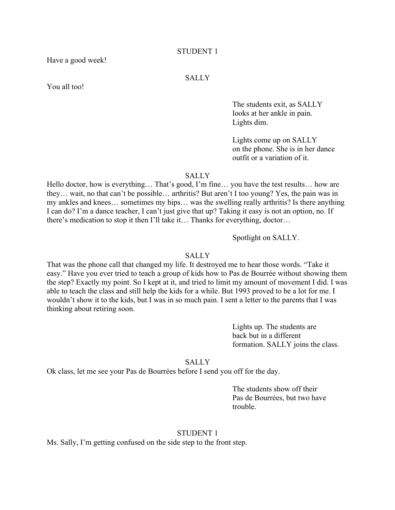#### STUDENT 1

Have a good week!

### SALLY

You all too!

The students exit, as SALLY looks at her ankle in pain. Lights dim.

Lights come up on SALLY on the phone. She is in her dance outfit or a variation of it.

### **SALLY**

Hello doctor, how is everything… That's good, I'm fine… you have the test results… how are they… wait, no that can't be possible… arthritis? But aren't I too young? Yes, the pain was in my ankles and knees… sometimes my hips… was the swelling really arthritis? Is there anything I can do? I'm a dance teacher, I can't just give that up? Taking it easy is not an option, no. If there's medication to stop it then I'll take it… Thanks for everything, doctor…

Spotlight on SALLY.

#### SALLY

That was the phone call that changed my life. It destroyed me to hear those words. "Take it easy." Have you ever tried to teach a group of kids how to Pas de Bourrée without showing them the step? Exactly my point. So I kept at it, and tried to limit my amount of movement I did. I was able to teach the class and still help the kids for a while. But 1993 proved to be a lot for me. I wouldn't show it to the kids, but I was in so much pain. I sent a letter to the parents that I was thinking about retiring soon.

> Lights up. The students are back but in a different formation. SALLY joins the class.

SALLY

Ok class, let me see your Pas de Bourrées before I send you off for the day.

The students show off their Pas de Bourrées, but two have trouble.

#### STUDENT 1

Ms. Sally, I'm getting confused on the side step to the front step.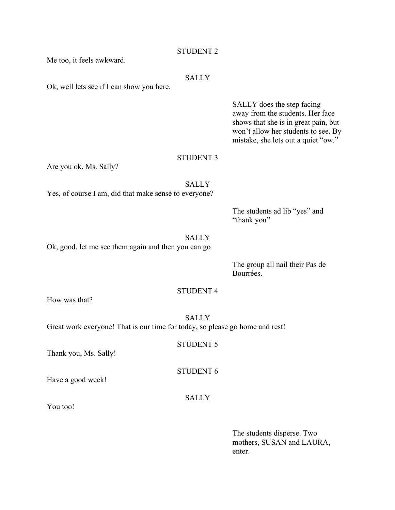| Me too, it feels awkward.                             | STUDENT 2        |                                                                                                                                                                                      |
|-------------------------------------------------------|------------------|--------------------------------------------------------------------------------------------------------------------------------------------------------------------------------------|
| Ok, well lets see if I can show you here.             | <b>SALLY</b>     |                                                                                                                                                                                      |
|                                                       |                  | SALLY does the step facing<br>away from the students. Her face<br>shows that she is in great pain, but<br>won't allow her students to see. By<br>mistake, she lets out a quiet "ow." |
|                                                       | <b>STUDENT 3</b> |                                                                                                                                                                                      |
| Are you ok, Ms. Sally?                                |                  |                                                                                                                                                                                      |
| Yes, of course I am, did that make sense to everyone? | <b>SALLY</b>     |                                                                                                                                                                                      |
|                                                       |                  | The students ad lib "yes" and<br>"thank you"                                                                                                                                         |
| Ok, good, let me see them again and then you can go   | <b>SALLY</b>     |                                                                                                                                                                                      |
|                                                       |                  | T <sub>1</sub>                                                                                                                                                                       |

The group all nail their Pas de Bourrées.

# STUDENT 4

STUDENT 5

STUDENT 6

How was that?

SALLY Great work everyone! That is our time for today, so please go home and rest!

Thank you, Ms. Sally!

Have a good week!

SALLY

You too!

The students disperse. Two mothers, SUSAN and LAURA, enter.

# STUDENT 2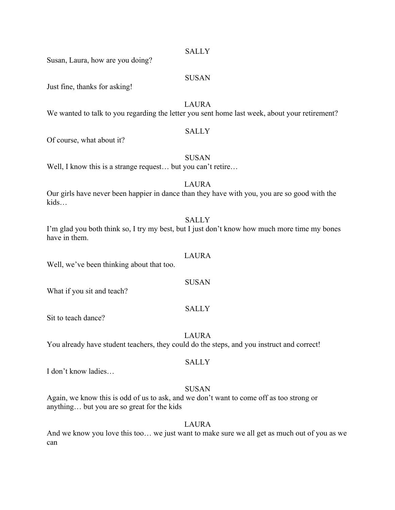Susan, Laura, how are you doing?

#### SUSAN

Just fine, thanks for asking!

LAURA

We wanted to talk to you regarding the letter you sent home last week, about your retirement?

#### **SALLY**

Of course, what about it?

#### **SUSAN**

Well, I know this is a strange request... but you can't retire...

# LAURA

Our girls have never been happier in dance than they have with you, you are so good with the kids…

#### **SALLY**

I'm glad you both think so, I try my best, but I just don't know how much more time my bones have in them.

#### LAURA

SUSAN

**SALLY** 

Well, we've been thinking about that too.

What if you sit and teach?

Sit to teach dance?

LAURA

You already have student teachers, they could do the steps, and you instruct and correct!

### **SALLY**

I don't know ladies…

#### SUSAN

Again, we know this is odd of us to ask, and we don't want to come off as too strong or anything… but you are so great for the kids

#### LAURA

And we know you love this too… we just want to make sure we all get as much out of you as we can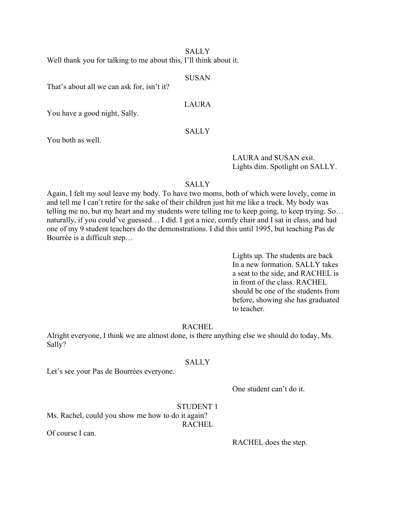Well thank you for talking to me about this, I'll think about it.

#### SUSAN

That's about all we can ask for, isn't it?

# LAURA

You have a good night, Sally.

# SALLY

You both as well.

LAURA and SUSAN exit. Lights dim. Spotlight on SALLY.

# SALLY

Again, I felt my soul leave my body. To have two moms, both of which were lovely, come in and tell me I can't retire for the sake of their children just hit me like a truck. My body was telling me no, but my heart and my students were telling me to keep going, to keep trying. So… naturally, if you could've guessed… I did. I got a nice, comfy chair and I sat in class, and had one of my 9 student teachers do the demonstrations. I did this until 1995, but teaching Pas de Bourrée is a difficult step…

> Lights up. The students are back In a new formation. SALLY takes a seat to the side, and RACHEL is in front of the class. RACHEL should be one of the students from before, showing she has graduated to teacher.

# RACHEL

Alright everyone, I think we are almost done, is there anything else we should do today, Ms. Sally?

### SALLY

Let's see your Pas de Bourrées everyone.

One student can't do it.

# STUDENT 1

Ms. Rachel, could you show me how to do it again? RACHEL

Of course I can.

RACHEL does the step.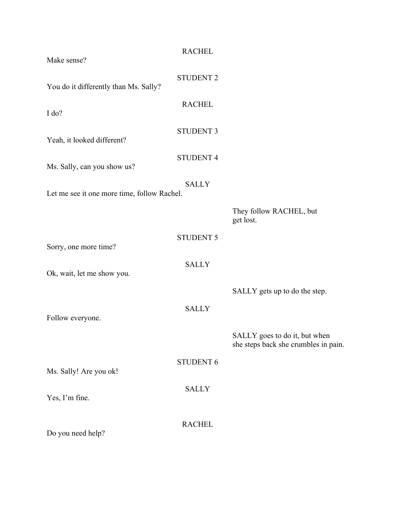| Make sense?                                 | <b>RACHEL</b>    |                                                                       |
|---------------------------------------------|------------------|-----------------------------------------------------------------------|
| You do it differently than Ms. Sally?       | <b>STUDENT 2</b> |                                                                       |
| I do?                                       | <b>RACHEL</b>    |                                                                       |
| Yeah, it looked different?                  | <b>STUDENT 3</b> |                                                                       |
| Ms. Sally, can you show us?                 | <b>STUDENT 4</b> |                                                                       |
| Let me see it one more time, follow Rachel. | <b>SALLY</b>     |                                                                       |
|                                             |                  | They follow RACHEL, but<br>get lost.                                  |
| Sorry, one more time?                       | <b>STUDENT 5</b> |                                                                       |
| Ok, wait, let me show you.                  | <b>SALLY</b>     |                                                                       |
|                                             |                  | SALLY gets up to do the step.                                         |
| Follow everyone.                            | <b>SALLY</b>     |                                                                       |
|                                             |                  | SALLY goes to do it, but when<br>she steps back she crumbles in pain. |
| Ms. Sally! Are you ok!                      | <b>STUDENT 6</b> |                                                                       |
| Yes, I'm fine.                              | <b>SALLY</b>     |                                                                       |
| Do you need help?                           | <b>RACHEL</b>    |                                                                       |